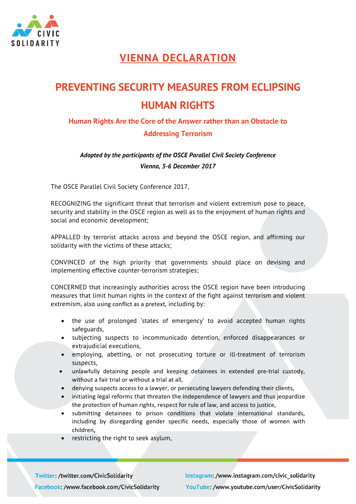

## **VIENNA DECLARATION**

## **PREVENTING SECURITY MEASURES FROM ECLIPSING HUMAN RIGHTS**

## **Human Rights Are the Core of the Answer rather than an Obstacle to Addressing Terrorism**

## *Adopted by the participants of the OSCE Parallel Civil Society Conference Vienna, 5-6 December 2017*

The OSCE Parallel Civil Society Conference 2017,

RECOGNIZING the significant threat that terrorism and violent extremism pose to peace, security and stability in the OSCE region as well as to the enjoyment of human rights and social and economic development;

APPALLED by terrorist attacks across and beyond the OSCE region, and affirming our solidarity with the victims of these attacks;

CONVINCED of the high priority that governments should place on devising and implementing effective counter-terrorism strategies;

CONCERNED that increasingly authorities across the OSCE region have been introducing measures that limit human rights in the context of the fight against terrorism and violent extremism, also using conflict as a pretext, including by:

- the use of prolonged 'states of emergency' to avoid accepted human rights safeguards,
- subjecting suspects to incommunicado detention, enforced disappearances or extrajudicial executions,
- employing, abetting, or not prosecuting torture or ill-treatment of terrorism suspects,
- unlawfully detaining people and keeping detainees in extended pre-trial custody, without a fair trial or without a trial at all,
- denying suspects access to a lawyer, or persecuting lawyers defending their clients,
- initiating legal reforms that threaten the independence of lawyers and thus jeopardize the protection of human rights, respect for rule of law, and access to justice,
- submitting detainees to prison conditions that violate international standards, including by disregarding gender specific needs, especially those of women with children**,**
- restricting the right to seek asylum.

**Twitter: /twitter.com/CivicSolidarity** Facebook: /www.facebook.com/CivicSolidarity Instagram: /www.instagram.com/civic\_solidarity YouTube: /www.youtube.com/user/CivicSolidarity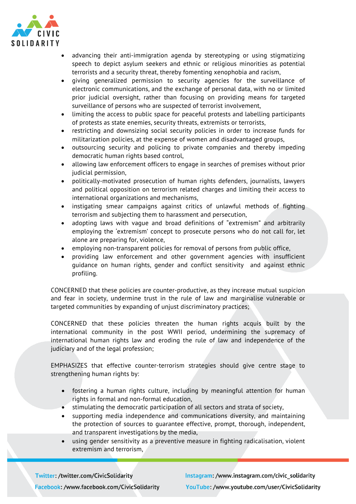

- advancing their anti-immigration agenda by stereotyping or using stigmatizing speech to depict asylum seekers and ethnic or religious minorities as potential terrorists and a security threat, thereby fomenting xenophobia and racism,
- giving generalized permission to security agencies for the surveillance of electronic communications, and the exchange of personal data, with no or limited prior judicial oversight, rather than focusing on providing means for targeted surveillance of persons who are suspected of terrorist involvement,
- limiting the access to public space for peaceful protests and labelling participants of protests as state enemies, security threats, extremists or terrorists,
- restricting and downsizing social security policies in order to increase funds for militarization policies, at the expense of women and disadvantaged groups,
- outsourcing security and policing to private companies and thereby impeding democratic human rights based control,
- allowing law enforcement officers to engage in searches of premises without prior judicial permission,
- politically-motivated prosecution of human rights defenders, journalists, lawyers and political opposition on terrorism related charges and limiting their access to international organizations and mechanisms,
- instigating smear campaigns against critics of unlawful methods of fighting terrorism and subjecting them to harassment and persecution,
- adopting laws with vague and broad definitions of "extremism" and arbitrarily employing the 'extremism' concept to prosecute persons who do not call for, let alone are preparing for, violence,
- employing non-transparent policies for removal of persons from public office,
- providing law enforcement and other government agencies with insufficient guidance on human rights, gender and conflict sensitivity and against ethnic profiling.

CONCERNED that these policies are counter-productive, as they increase mutual suspicion and fear in society, undermine trust in the rule of law and marginalise vulnerable or targeted communities by expanding of unjust discriminatory practices;

CONCERNED that these policies threaten the human rights acquis built by the international community in the post WWII period, undermining the supremacy of international human rights law and eroding the rule of law and independence of the judiciary and of the legal profession;

EMPHASIZES that effective counter-terrorism strategies should give centre stage to strengthening human rights by:

- fostering a human rights culture, including by meaningful attention for human rights in formal and non-formal education,
- stimulating the democratic participation of all sectors and strata of society,
- supporting media independence and communications diversity, and maintaining the protection of sources to guarantee effective, prompt, thorough, independent, and transparent investigations by the media,
- using gender sensitivity as a preventive measure in fighting radicalisation, violent extremism and terrorism,

**Twitter: /twitter.com/CivicSolidarity** Facebook: /www.facebook.com/CivicSolidarity Instagram: /www.instagram.com/civic\_solidarity YouTube: /www.youtube.com/user/CivicSolidarity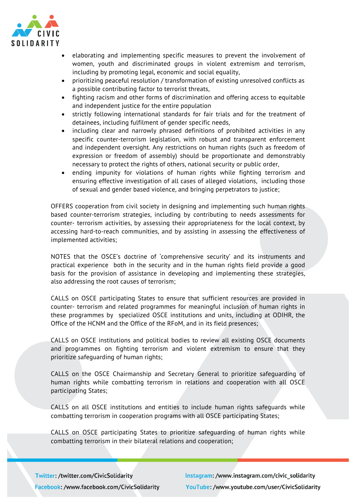

- elaborating and implementing specific measures to prevent the involvement of women, youth and discriminated groups in violent extremism and terrorism, including by promoting legal, economic and social equality,
- prioritizing peaceful resolution / transformation of existing unresolved conflicts as a possible contributing factor to terrorist threats,
- fighting racism and other forms of discrimination and offering access to equitable and independent justice for the entire population
- strictly following international standards for fair trials and for the treatment of detainees, including fulfilment of gender specific needs,
- including clear and narrowly phrased definitions of prohibited activities in any specific counter-terrorism legislation, with robust and transparent enforcement and independent oversight. Any restrictions on human rights (such as freedom of expression or freedom of assembly) should be proportionate and demonstrably necessary to protect the rights of others, national security or public order,
- ending impunity for violations of human rights while fighting terrorism and ensuring effective investigation of all cases of alleged violations, including those of sexual and gender based violence, and bringing perpetrators to justice;

OFFERS cooperation from civil society in designing and implementing such human rights based counter-terrorism strategies, including by contributing to needs assessments for counter- terrorism activities, by assessing their appropriateness for the local context, by accessing hard-to-reach communities, and by assisting in assessing the effectiveness of implemented activities;

NOTES that the OSCE's doctrine of 'comprehensive security' and its instruments and practical experience both in the security and in the human rights field provide a good basis for the provision of assistance in developing and implementing these strategies, also addressing the root causes of terrorism;

CALLS on OSCE participating States to ensure that sufficient resources are provided in counter- terrorism and related programmes for meaningful inclusion of human rights in these programmes by specialized OSCE institutions and units, including at ODIHR, the Office of the HCNM and the Office of the RFoM, and in its field presences;

CALLS on OSCE institutions and political bodies to review all existing OSCE documents and programmes on fighting terrorism and violent extremism to ensure that they prioritize safeguarding of human rights;

CALLS on the OSCE Chairmanship and Secretary General to prioritize safeguarding of human rights while combatting terrorism in relations and cooperation with all OSCE participating States;

CALLS on all OSCE institutions and entities to include human rights safeguards while combatting terrorism in cooperation programs with all OSCE participating States;

CALLS on OSCE participating States to prioritize safeguarding of human rights while combatting terrorism in their bilateral relations and cooperation;

**Twitter: /twitter.com/CivicSolidarity** Facebook: /www.facebook.com/CivicSolidarity Instagram: /www.instagram.com/civic solidarity YouTube: /www.youtube.com/user/CivicSolidarity